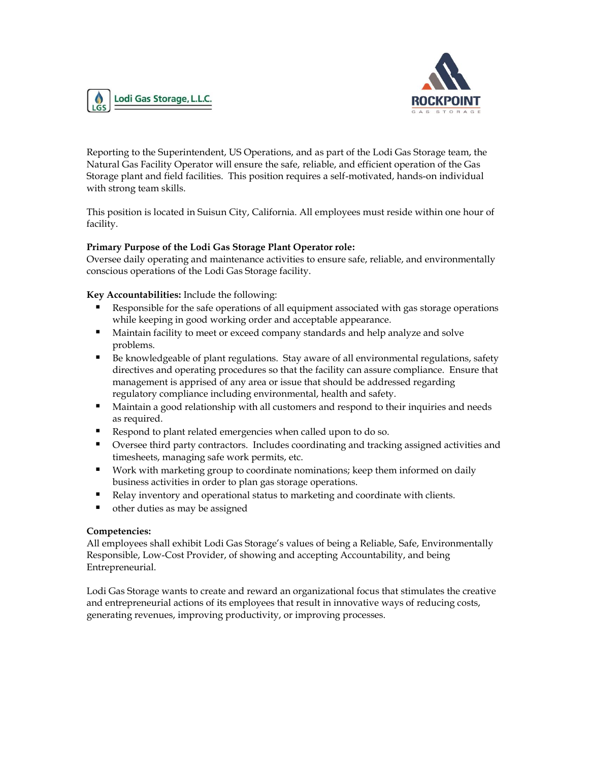



Reporting to the Superintendent, US Operations, and as part of the Lodi Gas Storage team, the Natural Gas Facility Operator will ensure the safe, reliable, and efficient operation of the Gas Storage plant and field facilities. This position requires a self-motivated, hands-on individual with strong team skills.

This position is located in Suisun City, California. All employees must reside within one hour of facility.

### **Primary Purpose of the Lodi Gas Storage Plant Operator role:**

Oversee daily operating and maintenance activities to ensure safe, reliable, and environmentally conscious operations of the Lodi Gas Storage facility.

**Key Accountabilities:** Include the following:

- Responsible for the safe operations of all equipment associated with gas storage operations while keeping in good working order and acceptable appearance.
- Maintain facility to meet or exceed company standards and help analyze and solve problems.
- Be knowledgeable of plant regulations. Stay aware of all environmental regulations, safety directives and operating procedures so that the facility can assure compliance. Ensure that management is apprised of any area or issue that should be addressed regarding regulatory compliance including environmental, health and safety.
- Maintain a good relationship with all customers and respond to their inquiries and needs as required.
- Respond to plant related emergencies when called upon to do so.
- Oversee third party contractors. Includes coordinating and tracking assigned activities and timesheets, managing safe work permits, etc.
- Work with marketing group to coordinate nominations; keep them informed on daily business activities in order to plan gas storage operations.
- Relay inventory and operational status to marketing and coordinate with clients.
- other duties as may be assigned

#### **Competencies:**

All employees shall exhibit Lodi Gas Storage's values of being a Reliable, Safe, Environmentally Responsible, Low-Cost Provider, of showing and accepting Accountability, and being Entrepreneurial.

Lodi Gas Storage wants to create and reward an organizational focus that stimulates the creative and entrepreneurial actions of its employees that result in innovative ways of reducing costs, generating revenues, improving productivity, or improving processes.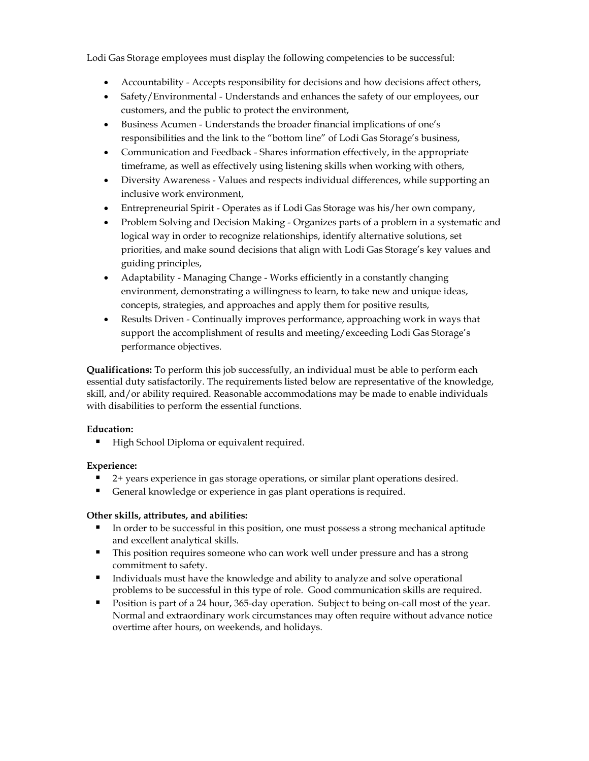Lodi Gas Storage employees must display the following competencies to be successful:

- Accountability Accepts responsibility for decisions and how decisions affect others,
- Safety/Environmental Understands and enhances the safety of our employees, our customers, and the public to protect the environment,
- Business Acumen Understands the broader financial implications of one's responsibilities and the link to the "bottom line" of Lodi Gas Storage's business,
- Communication and Feedback Shares information effectively, in the appropriate timeframe, as well as effectively using listening skills when working with others,
- Diversity Awareness Values and respects individual differences, while supporting an inclusive work environment,
- Entrepreneurial Spirit Operates as if Lodi Gas Storage was his/her own company,
- Problem Solving and Decision Making Organizes parts of a problem in a systematic and logical way in order to recognize relationships, identify alternative solutions, set priorities, and make sound decisions that align with Lodi Gas Storage's key values and guiding principles,
- Adaptability Managing Change Works efficiently in a constantly changing environment, demonstrating a willingness to learn, to take new and unique ideas, concepts, strategies, and approaches and apply them for positive results,
- Results Driven Continually improves performance, approaching work in ways that support the accomplishment of results and meeting/exceeding Lodi Gas Storage's performance objectives.

**Qualifications:** To perform this job successfully, an individual must be able to perform each essential duty satisfactorily. The requirements listed below are representative of the knowledge, skill, and/or ability required. Reasonable accommodations may be made to enable individuals with disabilities to perform the essential functions.

# **Education:**

**EXECUTE:** High School Diploma or equivalent required.

# **Experience:**

- 2+ years experience in gas storage operations, or similar plant operations desired.
- General knowledge or experience in gas plant operations is required.

# **Other skills, attributes, and abilities:**

- In order to be successful in this position, one must possess a strong mechanical aptitude and excellent analytical skills.
- This position requires someone who can work well under pressure and has a strong commitment to safety.
- Individuals must have the knowledge and ability to analyze and solve operational problems to be successful in this type of role. Good communication skills are required.
- Position is part of a 24 hour, 365-day operation. Subject to being on-call most of the year. Normal and extraordinary work circumstances may often require without advance notice overtime after hours, on weekends, and holidays.